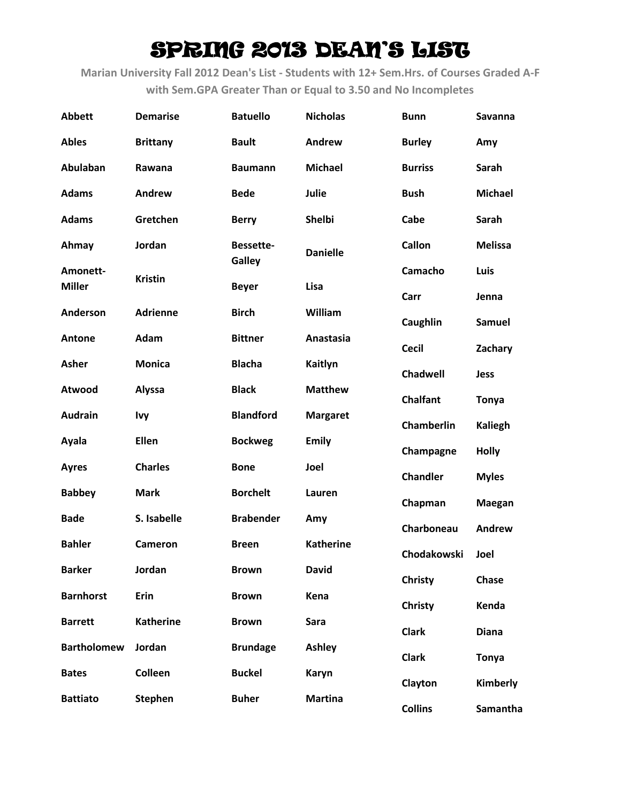| <b>Abbett</b>             | <b>Demarise</b>  | <b>Batuello</b>        | <b>Nicholas</b>  | <b>Bunn</b>       | Savanna        |
|---------------------------|------------------|------------------------|------------------|-------------------|----------------|
| <b>Ables</b>              | <b>Brittany</b>  | <b>Bault</b>           | Andrew           | <b>Burley</b>     | Amy            |
| Abulaban                  | Rawana           | <b>Baumann</b>         | <b>Michael</b>   | <b>Burriss</b>    | Sarah          |
| <b>Adams</b>              | Andrew           | <b>Bede</b>            | Julie            | <b>Bush</b>       | <b>Michael</b> |
| <b>Adams</b>              | Gretchen         | <b>Berry</b>           | Shelbi           | Cabe              | Sarah          |
| Ahmay                     | Jordan           | Bessette-              | <b>Danielle</b>  | <b>Callon</b>     | <b>Melissa</b> |
| Amonett-<br><b>Miller</b> | <b>Kristin</b>   | Galley<br><b>Beyer</b> | Lisa             | Camacho           | Luis           |
|                           |                  |                        |                  | Carr              | Jenna          |
| Anderson                  | <b>Adrienne</b>  | <b>Birch</b>           | William          | Caughlin          | <b>Samuel</b>  |
| Antone                    | Adam             | <b>Bittner</b>         | Anastasia        | <b>Cecil</b>      | Zachary        |
| <b>Asher</b>              | <b>Monica</b>    | <b>Blacha</b>          | Kaitlyn          | Chadwell          | <b>Jess</b>    |
| Atwood                    | <b>Alyssa</b>    | <b>Black</b>           | <b>Matthew</b>   | <b>Chalfant</b>   | <b>Tonya</b>   |
| <b>Audrain</b>            | <b>Ivy</b>       | <b>Blandford</b>       | <b>Margaret</b>  | <b>Chamberlin</b> | <b>Kaliegh</b> |
| Ayala                     | Ellen            | <b>Bockweg</b>         | <b>Emily</b>     | Champagne         | <b>Holly</b>   |
| <b>Ayres</b>              | <b>Charles</b>   | <b>Bone</b>            | Joel             | <b>Chandler</b>   | <b>Myles</b>   |
| <b>Babbey</b>             | <b>Mark</b>      | <b>Borchelt</b>        | Lauren           | Chapman           | <b>Maegan</b>  |
| <b>Bade</b>               | S. Isabelle      | <b>Brabender</b>       | Amy              | Charboneau        | Andrew         |
| <b>Bahler</b>             | <b>Cameron</b>   | <b>Breen</b>           | <b>Katherine</b> | Chodakowski       | Joel           |
| <b>Barker</b>             | Jordan           | <b>Brown</b>           | <b>David</b>     | <b>Christy</b>    | Chase          |
| <b>Barnhorst</b>          | Erin             | <b>Brown</b>           | Kena             | <b>Christy</b>    | Kenda          |
| <b>Barrett</b>            | <b>Katherine</b> | <b>Brown</b>           | Sara             | <b>Clark</b>      | <b>Diana</b>   |
| <b>Bartholomew</b>        | Jordan           | <b>Brundage</b>        | <b>Ashley</b>    | <b>Clark</b>      | <b>Tonya</b>   |
| <b>Bates</b>              | Colleen          | <b>Buckel</b>          | Karyn            | Clayton           | Kimberly       |
| <b>Battiato</b>           | <b>Stephen</b>   | <b>Buher</b>           | <b>Martina</b>   | <b>Collins</b>    | Samantha       |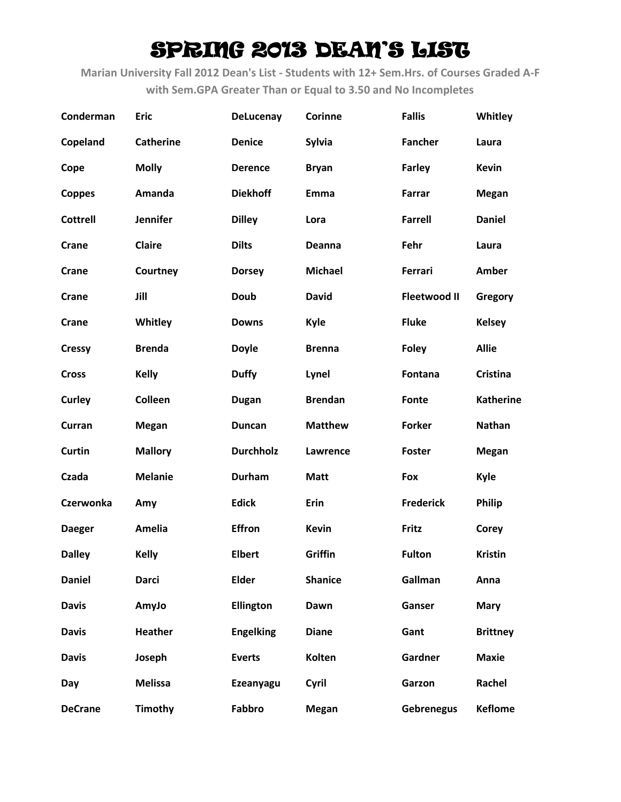| Conderman       | <b>Eric</b>      | <b>DeLucenay</b> | Corinne        | <b>Fallis</b>       | Whitley          |
|-----------------|------------------|------------------|----------------|---------------------|------------------|
| Copeland        | <b>Catherine</b> | <b>Denice</b>    | Sylvia         | <b>Fancher</b>      | Laura            |
| Cope            | <b>Molly</b>     | <b>Derence</b>   | <b>Bryan</b>   | <b>Farley</b>       | <b>Kevin</b>     |
| <b>Coppes</b>   | Amanda           | <b>Diekhoff</b>  | Emma           | Farrar              | <b>Megan</b>     |
| <b>Cottrell</b> | <b>Jennifer</b>  | <b>Dilley</b>    | Lora           | <b>Farrell</b>      | <b>Daniel</b>    |
| Crane           | <b>Claire</b>    | <b>Dilts</b>     | Deanna         | Fehr                | Laura            |
| Crane           | Courtney         | <b>Dorsey</b>    | <b>Michael</b> | Ferrari             | Amber            |
| Crane           | Jill             | <b>Doub</b>      | <b>David</b>   | <b>Fleetwood II</b> | Gregory          |
| Crane           | Whitley          | <b>Downs</b>     | Kyle           | <b>Fluke</b>        | <b>Kelsey</b>    |
| <b>Cressy</b>   | <b>Brenda</b>    | <b>Doyle</b>     | <b>Brenna</b>  | <b>Foley</b>        | <b>Allie</b>     |
| <b>Cross</b>    | <b>Kelly</b>     | <b>Duffy</b>     | Lynel          | Fontana             | <b>Cristina</b>  |
| Curley          | Colleen          | <b>Dugan</b>     | <b>Brendan</b> | Fonte               | <b>Katherine</b> |
| Curran          | <b>Megan</b>     | <b>Duncan</b>    | <b>Matthew</b> | <b>Forker</b>       | <b>Nathan</b>    |
| <b>Curtin</b>   | <b>Mallory</b>   | <b>Durchholz</b> | Lawrence       | <b>Foster</b>       | <b>Megan</b>     |
| Czada           | <b>Melanie</b>   | Durham           | <b>Matt</b>    | Fox                 | <b>Kyle</b>      |
| Czerwonka       | Amy              | <b>Edick</b>     | Erin           | <b>Frederick</b>    | <b>Philip</b>    |
| <b>Daeger</b>   | Amelia           | <b>Effron</b>    | <b>Kevin</b>   | Fritz               | Corey            |
| <b>Dalley</b>   | <b>Kelly</b>     | <b>Elbert</b>    | Griffin        | <b>Fulton</b>       | <b>Kristin</b>   |
| <b>Daniel</b>   | <b>Darci</b>     | <b>Elder</b>     | <b>Shanice</b> | Gallman             | Anna             |
| <b>Davis</b>    | AmyJo            | <b>Ellington</b> | Dawn           | Ganser              | <b>Mary</b>      |
| <b>Davis</b>    | <b>Heather</b>   | <b>Engelking</b> | <b>Diane</b>   | Gant                | <b>Brittney</b>  |
| <b>Davis</b>    | Joseph           | <b>Everts</b>    | Kolten         | Gardner             | <b>Maxie</b>     |
| Day             | <b>Melissa</b>   | Ezeanyagu        | Cyril          | Garzon              | Rachel           |
| <b>DeCrane</b>  | Timothy          | Fabbro           | <b>Megan</b>   | <b>Gebrenegus</b>   | <b>Keflome</b>   |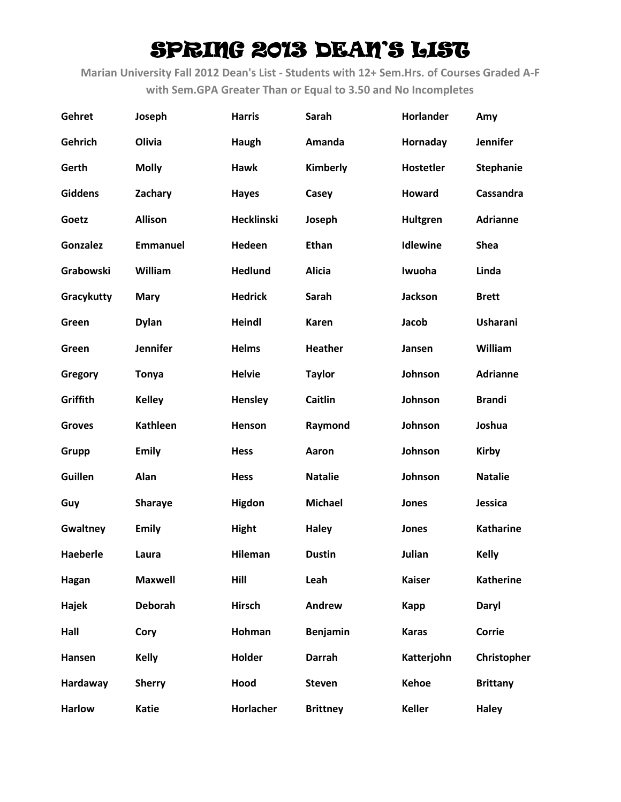| Gehret          | Joseph          | <b>Harris</b>     | Sarah           | Horlander        | Amy              |
|-----------------|-----------------|-------------------|-----------------|------------------|------------------|
| Gehrich         | Olivia          | Haugh             | Amanda          | Hornaday         | <b>Jennifer</b>  |
| Gerth           | <b>Molly</b>    | <b>Hawk</b>       | Kimberly        | <b>Hostetler</b> | <b>Stephanie</b> |
| <b>Giddens</b>  | Zachary         | <b>Hayes</b>      | Casey           | Howard           | Cassandra        |
| Goetz           | <b>Allison</b>  | <b>Hecklinski</b> | Joseph          | Hultgren         | <b>Adrianne</b>  |
| <b>Gonzalez</b> | <b>Emmanuel</b> | Hedeen            | <b>Ethan</b>    | <b>Idlewine</b>  | <b>Shea</b>      |
| Grabowski       | William         | <b>Hedlund</b>    | <b>Alicia</b>   | Iwuoha           | Linda            |
| Gracykutty      | <b>Mary</b>     | <b>Hedrick</b>    | Sarah           | <b>Jackson</b>   | <b>Brett</b>     |
| Green           | <b>Dylan</b>    | <b>Heindl</b>     | <b>Karen</b>    | Jacob            | <b>Usharani</b>  |
| Green           | <b>Jennifer</b> | <b>Helms</b>      | Heather         | Jansen           | William          |
| Gregory         | <b>Tonya</b>    | <b>Helvie</b>     | <b>Taylor</b>   | Johnson          | <b>Adrianne</b>  |
| Griffith        | <b>Kelley</b>   | <b>Hensley</b>    | Caitlin         | Johnson          | <b>Brandi</b>    |
| <b>Groves</b>   | <b>Kathleen</b> | Henson            | Raymond         | Johnson          | Joshua           |
| Grupp           | <b>Emily</b>    | <b>Hess</b>       | Aaron           | Johnson          | <b>Kirby</b>     |
| Guillen         | Alan            | <b>Hess</b>       | <b>Natalie</b>  | Johnson          | <b>Natalie</b>   |
| Guy             | <b>Sharaye</b>  | <b>Higdon</b>     | <b>Michael</b>  | Jones            | Jessica          |
| Gwaltney        | <b>Emily</b>    | <b>Hight</b>      | <b>Haley</b>    | Jones            | <b>Katharine</b> |
| <b>Haeberle</b> | Laura           | <b>Hileman</b>    | <b>Dustin</b>   | Julian           | <b>Kelly</b>     |
| Hagan           | <b>Maxwell</b>  | Hill              | Leah            | <b>Kaiser</b>    | <b>Katherine</b> |
| Hajek           | <b>Deborah</b>  | <b>Hirsch</b>     | Andrew          | Kapp             | Daryl            |
| Hall            | Cory            | Hohman            | <b>Benjamin</b> | <b>Karas</b>     | <b>Corrie</b>    |
| Hansen          | <b>Kelly</b>    | Holder            | <b>Darrah</b>   | Katterjohn       | Christopher      |
| Hardaway        | <b>Sherry</b>   | Hood              | <b>Steven</b>   | <b>Kehoe</b>     | <b>Brittany</b>  |
| <b>Harlow</b>   | <b>Katie</b>    | Horlacher         | <b>Brittney</b> | <b>Keller</b>    | <b>Haley</b>     |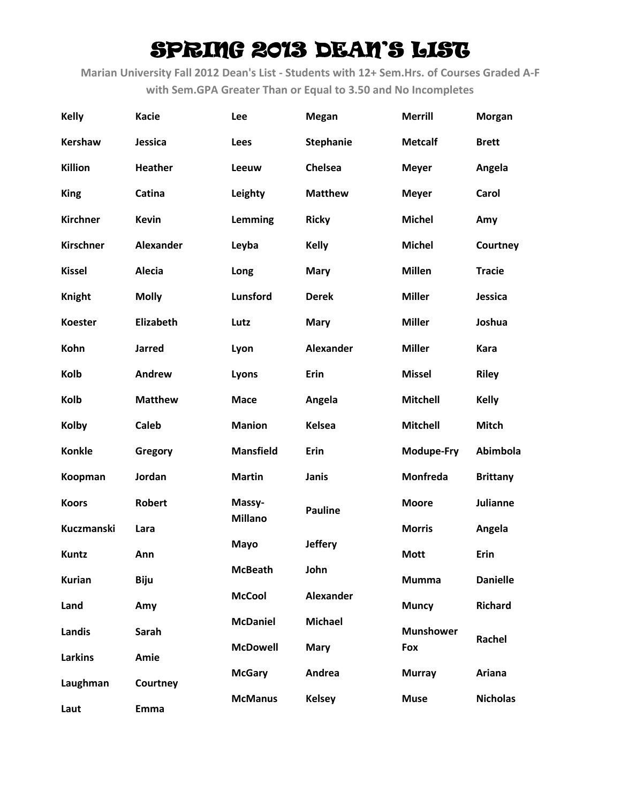| <b>Kelly</b>     | <b>Kacie</b>     | Lee              | <b>Megan</b>     | <b>Merrill</b>   | <b>Morgan</b>   |
|------------------|------------------|------------------|------------------|------------------|-----------------|
| <b>Kershaw</b>   | Jessica          | Lees             | <b>Stephanie</b> | <b>Metcalf</b>   | <b>Brett</b>    |
| Killion          | <b>Heather</b>   | Leeuw            | <b>Chelsea</b>   | <b>Meyer</b>     | Angela          |
| <b>King</b>      | Catina           | Leighty          | <b>Matthew</b>   | <b>Meyer</b>     | Carol           |
| <b>Kirchner</b>  | <b>Kevin</b>     | Lemming          | <b>Ricky</b>     | <b>Michel</b>    | Amy             |
| <b>Kirschner</b> | Alexander        | Leyba            | <b>Kelly</b>     | <b>Michel</b>    | Courtney        |
| <b>Kissel</b>    | Alecia           | Long             | <b>Mary</b>      | <b>Millen</b>    | <b>Tracie</b>   |
| <b>Knight</b>    | <b>Molly</b>     | Lunsford         | <b>Derek</b>     | <b>Miller</b>    | Jessica         |
| <b>Koester</b>   | <b>Elizabeth</b> | Lutz             | <b>Mary</b>      | <b>Miller</b>    | Joshua          |
| Kohn             | <b>Jarred</b>    | Lyon             | <b>Alexander</b> | <b>Miller</b>    | Kara            |
| Kolb             | <b>Andrew</b>    | Lyons            | Erin             | <b>Missel</b>    | <b>Riley</b>    |
| Kolb             | <b>Matthew</b>   | <b>Mace</b>      | Angela           | <b>Mitchell</b>  | <b>Kelly</b>    |
| <b>Kolby</b>     | <b>Caleb</b>     | <b>Manion</b>    | <b>Kelsea</b>    | <b>Mitchell</b>  | <b>Mitch</b>    |
| <b>Konkle</b>    | Gregory          | <b>Mansfield</b> | Erin             | Modupe-Fry       | Abimbola        |
| Koopman          | Jordan           | <b>Martin</b>    | Janis            | Monfreda         | <b>Brittany</b> |
| <b>Koors</b>     | <b>Robert</b>    | Massy-           | <b>Pauline</b>   | <b>Moore</b>     | Julianne        |
| Kuczmanski       | Lara             | <b>Millano</b>   |                  | <b>Morris</b>    | Angela          |
| <b>Kuntz</b>     | Ann              | <b>Mayo</b>      | <b>Jeffery</b>   | <b>Mott</b>      | Erin            |
| <b>Kurian</b>    | <b>Biju</b>      | <b>McBeath</b>   | John             | <b>Mumma</b>     | <b>Danielle</b> |
| Land             | Amy              | <b>McCool</b>    | <b>Alexander</b> | <b>Muncy</b>     | <b>Richard</b>  |
| <b>Landis</b>    | Sarah            | <b>McDaniel</b>  | <b>Michael</b>   | <b>Munshower</b> | Rachel          |
| <b>Larkins</b>   | Amie             | <b>McDowell</b>  | <b>Mary</b>      | Fox              |                 |
| Laughman         | Courtney         | <b>McGary</b>    | Andrea           | <b>Murray</b>    | Ariana          |
| Laut             | <b>Emma</b>      | <b>McManus</b>   | <b>Kelsey</b>    | <b>Muse</b>      | <b>Nicholas</b> |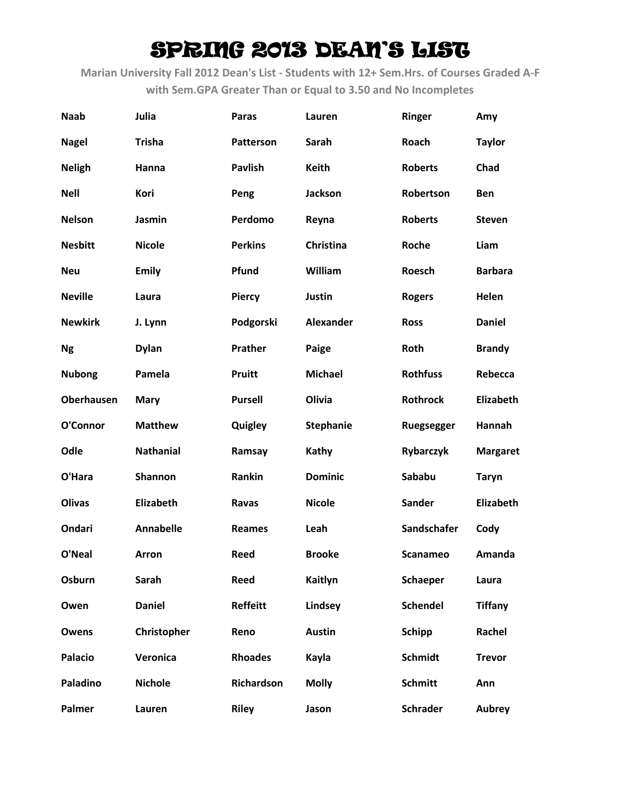| <b>Naab</b>       | Julia            | Paras             | Lauren           | <b>Ringer</b>    | Amy              |
|-------------------|------------------|-------------------|------------------|------------------|------------------|
| <b>Nagel</b>      | <b>Trisha</b>    | <b>Patterson</b>  | Sarah            | Roach            | <b>Taylor</b>    |
| <b>Neligh</b>     | Hanna            | <b>Pavlish</b>    | <b>Keith</b>     | <b>Roberts</b>   | Chad             |
| <b>Nell</b>       | Kori             | Peng              | Jackson          | Robertson        | <b>Ben</b>       |
| <b>Nelson</b>     | Jasmin           | Perdomo           | Reyna            | <b>Roberts</b>   | <b>Steven</b>    |
| <b>Nesbitt</b>    | <b>Nicole</b>    | <b>Perkins</b>    | <b>Christina</b> | Roche            | Liam             |
| <b>Neu</b>        | <b>Emily</b>     | Pfund             | William          | Roesch           | <b>Barbara</b>   |
| <b>Neville</b>    | Laura            | <b>Piercy</b>     | Justin           | <b>Rogers</b>    | Helen            |
| <b>Newkirk</b>    | J. Lynn          | Podgorski         | <b>Alexander</b> | <b>Ross</b>      | <b>Daniel</b>    |
| <b>Ng</b>         | <b>Dylan</b>     | Prather           | Paige            | Roth             | <b>Brandy</b>    |
| <b>Nubong</b>     | Pamela           | <b>Pruitt</b>     | <b>Michael</b>   | <b>Rothfuss</b>  | Rebecca          |
| <b>Oberhausen</b> | <b>Mary</b>      | <b>Pursell</b>    | Olivia           | <b>Rothrock</b>  | <b>Elizabeth</b> |
| O'Connor          | <b>Matthew</b>   | Quigley           | <b>Stephanie</b> | Ruegsegger       | Hannah           |
| Odle              | <b>Nathanial</b> | Ramsay            | <b>Kathy</b>     | <b>Rybarczyk</b> | <b>Margaret</b>  |
| O'Hara            | Shannon          | Rankin            | <b>Dominic</b>   | Sababu           | <b>Taryn</b>     |
| <b>Olivas</b>     | Elizabeth        | Ravas             | <b>Nicole</b>    | Sander           | <b>Elizabeth</b> |
| Ondari            | <b>Annabelle</b> | <b>Reames</b>     | Leah             | Sandschafer      | Cody             |
| O'Neal            | Arron            | <b>Reed</b>       | <b>Brooke</b>    | <b>Scanameo</b>  | Amanda           |
| Osburn            | Sarah            | Reed              | Kaitlyn          | <b>Schaeper</b>  | Laura            |
| Owen              | <b>Daniel</b>    | <b>Reffeitt</b>   | Lindsey          | <b>Schendel</b>  | <b>Tiffany</b>   |
| Owens             | Christopher      | Reno              | <b>Austin</b>    | <b>Schipp</b>    | Rachel           |
| <b>Palacio</b>    | Veronica         | <b>Rhoades</b>    | Kayla            | <b>Schmidt</b>   | <b>Trevor</b>    |
| Paladino          | <b>Nichole</b>   | <b>Richardson</b> | <b>Molly</b>     | <b>Schmitt</b>   | Ann              |
| Palmer            | Lauren           | <b>Riley</b>      | Jason            | <b>Schrader</b>  | <b>Aubrey</b>    |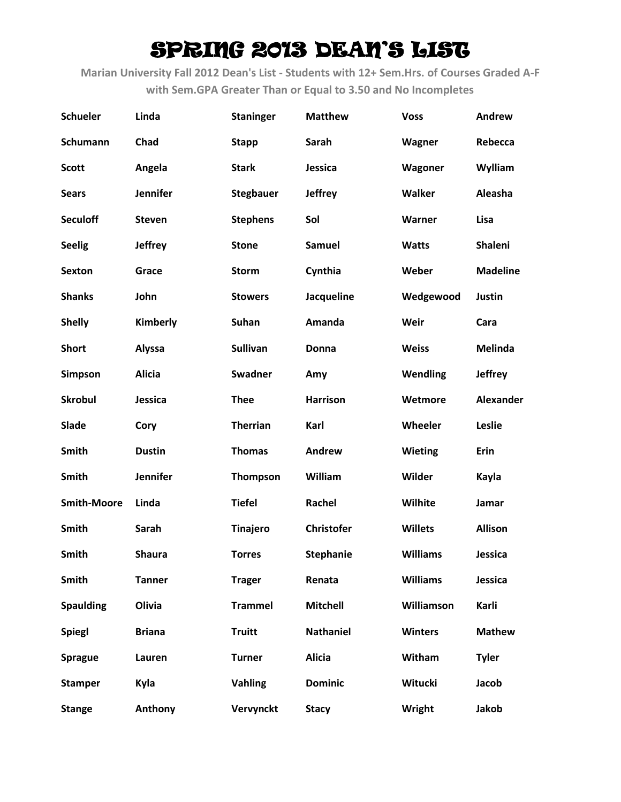| Schueler           | Linda           | <b>Staninger</b> | <b>Matthew</b>    | <b>Voss</b>     | <b>Andrew</b>   |
|--------------------|-----------------|------------------|-------------------|-----------------|-----------------|
| <b>Schumann</b>    | Chad            | <b>Stapp</b>     | Sarah             | Wagner          | Rebecca         |
| <b>Scott</b>       | Angela          | <b>Stark</b>     | Jessica           | Wagoner         | Wylliam         |
| <b>Sears</b>       | <b>Jennifer</b> | <b>Stegbauer</b> | <b>Jeffrey</b>    | Walker          | Aleasha         |
| <b>Seculoff</b>    | <b>Steven</b>   | <b>Stephens</b>  | Sol               | Warner          | Lisa            |
| <b>Seelig</b>      | <b>Jeffrey</b>  | <b>Stone</b>     | Samuel            | <b>Watts</b>    | <b>Shaleni</b>  |
| <b>Sexton</b>      | Grace           | <b>Storm</b>     | Cynthia           | Weber           | <b>Madeline</b> |
| <b>Shanks</b>      | John            | <b>Stowers</b>   | Jacqueline        | Wedgewood       | Justin          |
| <b>Shelly</b>      | Kimberly        | Suhan            | Amanda            | Weir            | Cara            |
| <b>Short</b>       | <b>Alyssa</b>   | <b>Sullivan</b>  | Donna             | <b>Weiss</b>    | <b>Melinda</b>  |
| Simpson            | <b>Alicia</b>   | <b>Swadner</b>   | Amy               | Wendling        | <b>Jeffrey</b>  |
| <b>Skrobul</b>     | Jessica         | <b>Thee</b>      | <b>Harrison</b>   | Wetmore         | Alexander       |
| Slade              | Cory            | <b>Therrian</b>  | Karl              | Wheeler         | Leslie          |
| Smith              | <b>Dustin</b>   | <b>Thomas</b>    | Andrew            | <b>Wieting</b>  | Erin            |
| Smith              | Jennifer        | <b>Thompson</b>  | William           | Wilder          | Kayla           |
| <b>Smith-Moore</b> | Linda           | <b>Tiefel</b>    | Rachel            | Wilhite         | Jamar           |
| Smith              | Sarah           | <b>Tinajero</b>  | <b>Christofer</b> | <b>Willets</b>  | <b>Allison</b>  |
| <b>Smith</b>       | <b>Shaura</b>   | <b>Torres</b>    | <b>Stephanie</b>  | <b>Williams</b> | Jessica         |
| Smith              | <b>Tanner</b>   | <b>Trager</b>    | Renata            | <b>Williams</b> | Jessica         |
| <b>Spaulding</b>   | Olivia          | <b>Trammel</b>   | <b>Mitchell</b>   | Williamson      | Karli           |
| <b>Spiegl</b>      | <b>Briana</b>   | <b>Truitt</b>    | <b>Nathaniel</b>  | <b>Winters</b>  | <b>Mathew</b>   |
| <b>Sprague</b>     | Lauren          | <b>Turner</b>    | <b>Alicia</b>     | Witham          | <b>Tyler</b>    |
| <b>Stamper</b>     | Kyla            | <b>Vahling</b>   | <b>Dominic</b>    | Witucki         | Jacob           |
| <b>Stange</b>      | Anthony         | Vervynckt        | <b>Stacy</b>      | Wright          | Jakob           |